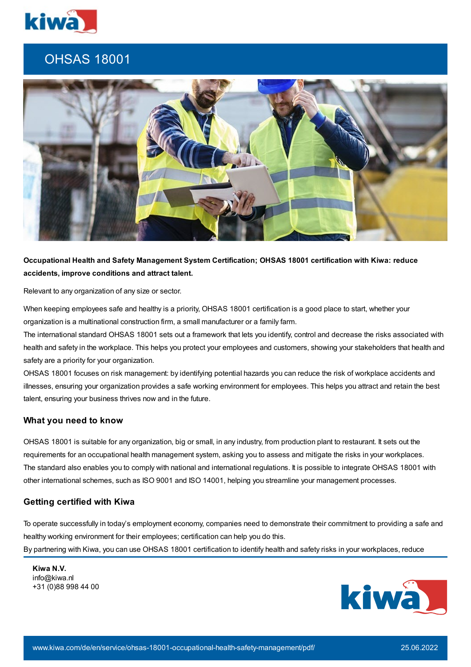

# OHSAS 18001



## **Occupational Health and Safety Management System Certification; OHSAS 18001 certification with Kiwa: reduce accidents, improve conditions and attract talent.**

Relevant to any organization of any size or sector.

When keeping employees safe and healthy is a priority, OHSAS 18001 certification is a good place to start, whether your organization is a multinational construction firm, a small manufacturer or a family farm.

The international standard OHSAS 18001 sets out a framework that lets you identify, control and decrease the risks associated with health and safety in the workplace. This helps you protect your employees and customers, showing your stakeholders that health and safety are a priority for your organization.

OHSAS 18001 focuses on risk management: by identifying potential hazards you can reduce the risk of workplace accidents and illnesses, ensuring your organization provides a safe working environment for employees. This helps you attract and retain the best talent, ensuring your business thrives now and in the future.

### **What you need to know**

OHSAS 18001 is suitable for any organization, big or small, in any industry, from production plant to restaurant. It sets out the requirements for an occupational health management system, asking you to assess and mitigate the risks in your workplaces. The standard also enables you to comply with national and international regulations. It is possible to integrate OHSAS 18001 with other international schemes, such as ISO 9001 and ISO 14001, helping you streamline your management processes.

#### **Getting certified with Kiwa**

To operate successfully in today's employment economy, companies need to demonstrate their commitment to providing a safe and healthy working environment for their employees; certification can help you do this. By partnering with Kiwa, you can use OHSAS 18001 certification to identify health and safety risks in your workplaces, reduce

**Kiwa N.V.** info@kiwa.nl +31 (0)88 998 44 00